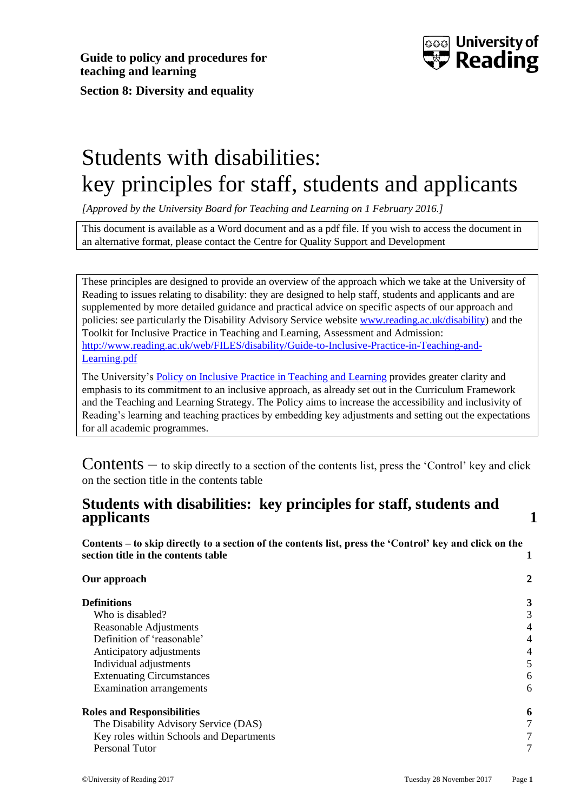

# <span id="page-0-0"></span>Students with disabilities: key principles for staff, students and applicants

*[Approved by the University Board for Teaching and Learning on 1 February 2016.]*

This document is available as a Word document and as a pdf file. If you wish to access the document in an alternative format, please contact the Centre for Quality Support and Development

These principles are designed to provide an overview of the approach which we take at the University of Reading to issues relating to disability: they are designed to help staff, students and applicants and are supplemented by more detailed guidance and practical advice on specific aspects of our approach and policies: see particularly the Disability Advisory Service website [www.reading.ac.uk/disability\)](http://www.reading.ac.uk/disability) and the Toolkit for Inclusive Practice in Teaching and Learning, Assessment and Admission: [http://www.reading.ac.uk/web/FILES/disability/Guide-to-Inclusive-Practice-in-Teaching-and-](http://www.reading.ac.uk/web/FILES/disability/Guide-to-Inclusive-Practice-in-Teaching-and-Learning.pdf)[Learning.pdf](http://www.reading.ac.uk/web/FILES/disability/Guide-to-Inclusive-Practice-in-Teaching-and-Learning.pdf)

The University's [Policy on Inclusive Practice in Teaching and Learning](http://www.reading.ac.uk/web/files/qualitysupport/Policy_on_Inclusive_Practice_in_Teaching_and_Learn.pdf) provides greater clarity and emphasis to its commitment to an inclusive approach, as already set out in the Curriculum Framework and the Teaching and Learning Strategy. The Policy aims to increase the accessibility and inclusivity of Reading's learning and teaching practices by embedding key adjustments and setting out the expectations for all academic programmes.

<span id="page-0-1"></span>**Contents**  $-$  to skip directly to a section of the contents list, press the 'Control' key and click on the section title in the contents table

## **[Students with disabilities: key principles for staff, students and](#page-0-0)  [applicants](#page-0-0) 1**

**Contents – [to skip directly to a section of the contents list, press the 'Control' key and click on the](#page-0-1)  [section title in the contents table](#page-0-1) 1**

| Our approach                             | 2 |
|------------------------------------------|---|
| <b>Definitions</b>                       | 3 |
| Who is disabled?                         | 3 |
| Reasonable Adjustments                   | 4 |
| Definition of 'reasonable'               | 4 |
| Anticipatory adjustments                 | 4 |
| Individual adjustments                   |   |
| <b>Extenuating Circumstances</b>         | 6 |
| Examination arrangements                 | 6 |
| <b>Roles and Responsibilities</b>        | 6 |
| The Disability Advisory Service (DAS)    | 7 |
| Key roles within Schools and Departments | 7 |
| Personal Tutor                           | 7 |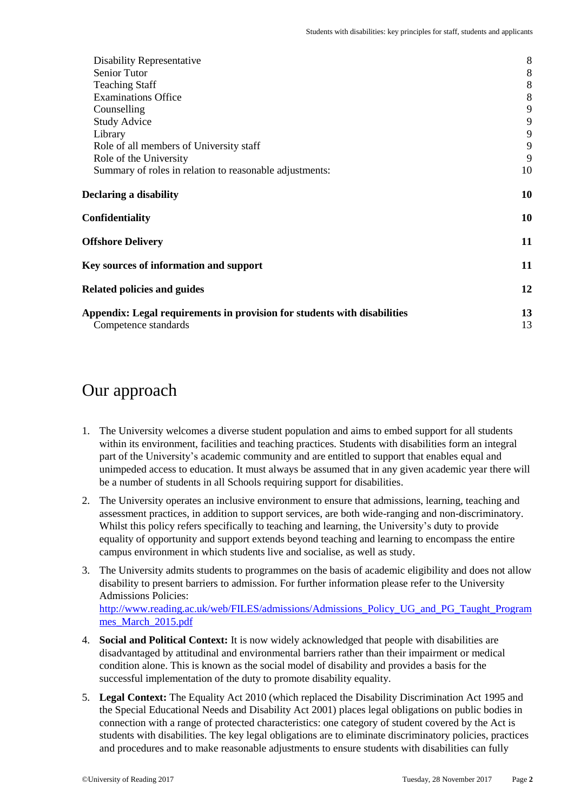| Disability Representative                                                                        | $8\,$    |
|--------------------------------------------------------------------------------------------------|----------|
| Senior Tutor                                                                                     | $\,8\,$  |
| <b>Teaching Staff</b>                                                                            | $\,8\,$  |
| <b>Examinations Office</b>                                                                       | 8        |
| Counselling                                                                                      | 9        |
| <b>Study Advice</b>                                                                              | 9        |
| Library                                                                                          | 9        |
| Role of all members of University staff                                                          | 9        |
| Role of the University                                                                           | 9        |
| Summary of roles in relation to reasonable adjustments:                                          | 10       |
| Declaring a disability                                                                           | 10       |
| Confidentiality                                                                                  | 10       |
| <b>Offshore Delivery</b>                                                                         | 11       |
| Key sources of information and support                                                           | 11       |
| <b>Related policies and guides</b>                                                               | 12       |
| Appendix: Legal requirements in provision for students with disabilities<br>Competence standards | 13<br>13 |
|                                                                                                  |          |

## <span id="page-1-0"></span>Our approach

- 1. The University welcomes a diverse student population and aims to embed support for all students within its environment, facilities and teaching practices. Students with disabilities form an integral part of the University's academic community and are entitled to support that enables equal and unimpeded access to education. It must always be assumed that in any given academic year there will be a number of students in all Schools requiring support for disabilities.
- 2. The University operates an inclusive environment to ensure that admissions, learning, teaching and assessment practices, in addition to support services, are both wide-ranging and non-discriminatory. Whilst this policy refers specifically to teaching and learning, the University's duty to provide equality of opportunity and support extends beyond teaching and learning to encompass the entire campus environment in which students live and socialise, as well as study.
- 3. The University admits students to programmes on the basis of academic eligibility and does not allow disability to present barriers to admission. For further information please refer to the University Admissions Policies: [http://www.reading.ac.uk/web/FILES/admissions/Admissions\\_Policy\\_UG\\_and\\_PG\\_Taught\\_Program](http://www.reading.ac.uk/web/FILES/admissions/Admissions_Policy_UG_and_PG_Taught_Programmes_March_2015.pdf) [mes\\_March\\_2015.pdf](http://www.reading.ac.uk/web/FILES/admissions/Admissions_Policy_UG_and_PG_Taught_Programmes_March_2015.pdf)
- 4. **Social and Political Context:** It is now widely acknowledged that people with disabilities are disadvantaged by attitudinal and environmental barriers rather than their impairment or medical condition alone. This is known as the social model of disability and provides a basis for the successful implementation of the duty to promote disability equality.
- 5. **Legal Context:** The Equality Act 2010 (which replaced the Disability Discrimination Act 1995 and the Special Educational Needs and Disability Act 2001) places legal obligations on public bodies in connection with a range of protected characteristics: one category of student covered by the Act is students with disabilities. The key legal obligations are to eliminate discriminatory policies, practices and procedures and to make reasonable adjustments to ensure students with disabilities can fully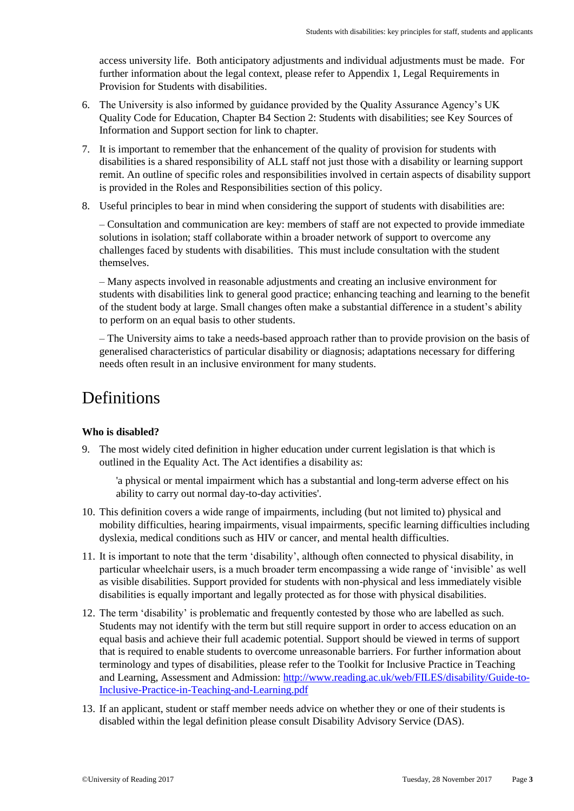access university life. Both anticipatory adjustments and individual adjustments must be made. For further information about the legal context, please refer to Appendix 1, Legal Requirements in Provision for Students with disabilities.

- 6. The University is also informed by guidance provided by the Quality Assurance Agency's UK Quality Code for Education, Chapter B4 Section 2: Students with disabilities; see Key Sources of Information and Support section for link to chapter.
- 7. It is important to remember that the enhancement of the quality of provision for students with disabilities is a shared responsibility of ALL staff not just those with a disability or learning support remit. An outline of specific roles and responsibilities involved in certain aspects of disability support is provided in the Roles and Responsibilities section of this policy.
- 8. Useful principles to bear in mind when considering the support of students with disabilities are:

– Consultation and communication are key: members of staff are not expected to provide immediate solutions in isolation; staff collaborate within a broader network of support to overcome any challenges faced by students with disabilities. This must include consultation with the student themselves.

– Many aspects involved in reasonable adjustments and creating an inclusive environment for students with disabilities link to general good practice; enhancing teaching and learning to the benefit of the student body at large. Small changes often make a substantial difference in a student's ability to perform on an equal basis to other students.

– The University aims to take a needs-based approach rather than to provide provision on the basis of generalised characteristics of particular disability or diagnosis; adaptations necessary for differing needs often result in an inclusive environment for many students.

## <span id="page-2-0"></span>**Definitions**

## <span id="page-2-1"></span>**Who is disabled?**

9. The most widely cited definition in higher education under current legislation is that which is outlined in the Equality Act. The Act identifies a disability as:

'a physical or mental impairment which has a substantial and long-term adverse effect on his ability to carry out normal day-to-day activities'.

- 10. This definition covers a wide range of impairments, including (but not limited to) physical and mobility difficulties, hearing impairments, visual impairments, specific learning difficulties including dyslexia, medical conditions such as HIV or cancer, and mental health difficulties.
- 11. It is important to note that the term 'disability', although often connected to physical disability, in particular wheelchair users, is a much broader term encompassing a wide range of 'invisible' as well as visible disabilities. Support provided for students with non-physical and less immediately visible disabilities is equally important and legally protected as for those with physical disabilities.
- 12. The term 'disability' is problematic and frequently contested by those who are labelled as such. Students may not identify with the term but still require support in order to access education on an equal basis and achieve their full academic potential. Support should be viewed in terms of support that is required to enable students to overcome unreasonable barriers. For further information about terminology and types of disabilities, please refer to the Toolkit for Inclusive Practice in Teaching and Learning, Assessment and Admission[: http://www.reading.ac.uk/web/FILES/disability/Guide-to-](http://www.reading.ac.uk/web/FILES/disability/Guide-to-Inclusive-Practice-in-Teaching-and-Learning.pdf)[Inclusive-Practice-in-Teaching-and-Learning.pdf](http://www.reading.ac.uk/web/FILES/disability/Guide-to-Inclusive-Practice-in-Teaching-and-Learning.pdf)
- 13. If an applicant, student or staff member needs advice on whether they or one of their students is disabled within the legal definition please consult Disability Advisory Service (DAS).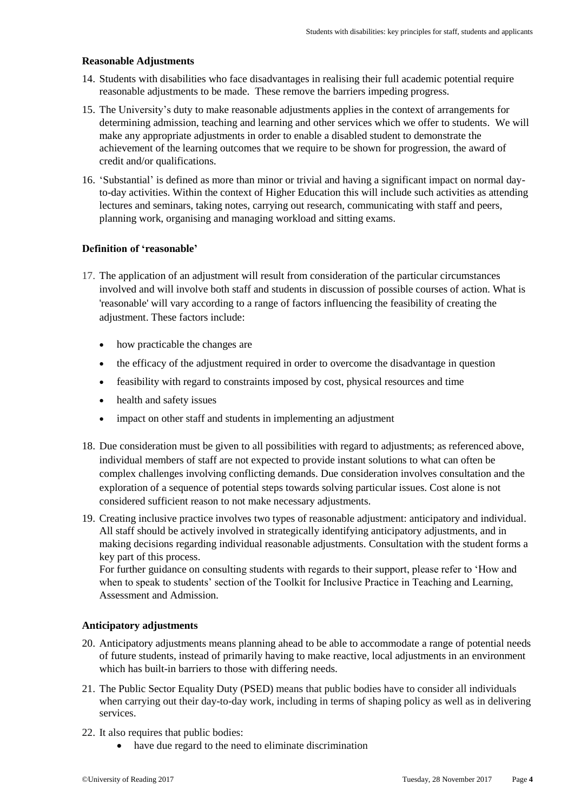### <span id="page-3-0"></span>**Reasonable Adjustments**

- 14. Students with disabilities who face disadvantages in realising their full academic potential require reasonable adjustments to be made. These remove the barriers impeding progress.
- 15. The University's duty to make reasonable adjustments applies in the context of arrangements for determining admission, teaching and learning and other services which we offer to students. We will make any appropriate adjustments in order to enable a disabled student to demonstrate the achievement of the learning outcomes that we require to be shown for progression, the award of credit and/or qualifications.
- 16. 'Substantial' is defined as more than minor or trivial and having a significant impact on normal dayto-day activities. Within the context of Higher Education this will include such activities as attending lectures and seminars, taking notes, carrying out research, communicating with staff and peers, planning work, organising and managing workload and sitting exams.

### <span id="page-3-1"></span>**Definition of 'reasonable'**

- 17. The application of an adjustment will result from consideration of the particular circumstances involved and will involve both staff and students in discussion of possible courses of action. What is 'reasonable' will vary according to a range of factors influencing the feasibility of creating the adjustment. These factors include:
	- how practicable the changes are
	- the efficacy of the adjustment required in order to overcome the disadvantage in question
	- feasibility with regard to constraints imposed by cost, physical resources and time
	- health and safety issues
	- impact on other staff and students in implementing an adjustment
- 18. Due consideration must be given to all possibilities with regard to adjustments; as referenced above, individual members of staff are not expected to provide instant solutions to what can often be complex challenges involving conflicting demands. Due consideration involves consultation and the exploration of a sequence of potential steps towards solving particular issues. Cost alone is not considered sufficient reason to not make necessary adjustments.
- 19. Creating inclusive practice involves two types of reasonable adjustment: anticipatory and individual. All staff should be actively involved in strategically identifying anticipatory adjustments, and in making decisions regarding individual reasonable adjustments. Consultation with the student forms a key part of this process.

For further guidance on consulting students with regards to their support, please refer to 'How and when to speak to students' section of the Toolkit for Inclusive Practice in Teaching and Learning, Assessment and Admission.

### <span id="page-3-2"></span>**Anticipatory adjustments**

- 20. Anticipatory adjustments means planning ahead to be able to accommodate a range of potential needs of future students, instead of primarily having to make reactive, local adjustments in an environment which has built-in barriers to those with differing needs.
- 21. The Public Sector Equality Duty (PSED) means that public bodies have to consider all individuals when carrying out their day-to-day work, including in terms of shaping policy as well as in delivering services.
- 22. It also requires that public bodies:
	- have due regard to the need to eliminate discrimination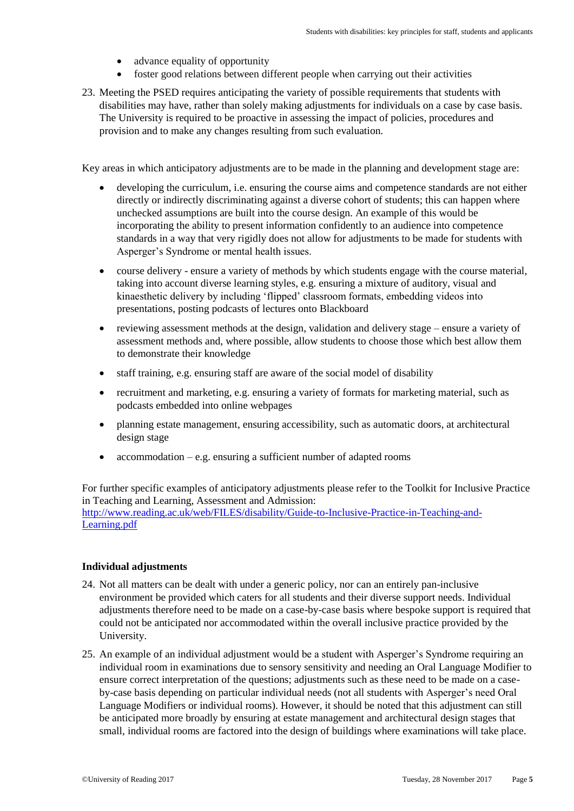- advance equality of opportunity
- foster good relations between different people when carrying out their activities
- 23. Meeting the PSED requires anticipating the variety of possible requirements that students with disabilities may have, rather than solely making adjustments for individuals on a case by case basis. The University is required to be proactive in assessing the impact of policies, procedures and provision and to make any changes resulting from such evaluation.

Key areas in which anticipatory adjustments are to be made in the planning and development stage are:

- developing the curriculum, i.e. ensuring the course aims and competence standards are not either directly or indirectly discriminating against a diverse cohort of students; this can happen where unchecked assumptions are built into the course design. An example of this would be incorporating the ability to present information confidently to an audience into competence standards in a way that very rigidly does not allow for adjustments to be made for students with Asperger's Syndrome or mental health issues.
- course delivery ensure a variety of methods by which students engage with the course material, taking into account diverse learning styles, e.g. ensuring a mixture of auditory, visual and kinaesthetic delivery by including 'flipped' classroom formats, embedding videos into presentations, posting podcasts of lectures onto Blackboard
- reviewing assessment methods at the design, validation and delivery stage ensure a variety of assessment methods and, where possible, allow students to choose those which best allow them to demonstrate their knowledge
- staff training, e.g. ensuring staff are aware of the social model of disability
- recruitment and marketing, e.g. ensuring a variety of formats for marketing material, such as podcasts embedded into online webpages
- planning estate management, ensuring accessibility, such as automatic doors, at architectural design stage
- accommodation  $-e.g.$  ensuring a sufficient number of adapted rooms

For further specific examples of anticipatory adjustments please refer to the Toolkit for Inclusive Practice in Teaching and Learning, Assessment and Admission: [http://www.reading.ac.uk/web/FILES/disability/Guide-to-Inclusive-Practice-in-Teaching-and-](http://www.reading.ac.uk/web/FILES/disability/Guide-to-Inclusive-Practice-in-Teaching-and-Learning.pdf)[Learning.pdf](http://www.reading.ac.uk/web/FILES/disability/Guide-to-Inclusive-Practice-in-Teaching-and-Learning.pdf) 

### <span id="page-4-0"></span>**Individual adjustments**

- 24. Not all matters can be dealt with under a generic policy, nor can an entirely pan-inclusive environment be provided which caters for all students and their diverse support needs. Individual adjustments therefore need to be made on a case-by-case basis where bespoke support is required that could not be anticipated nor accommodated within the overall inclusive practice provided by the University.
- 25. An example of an individual adjustment would be a student with Asperger's Syndrome requiring an individual room in examinations due to sensory sensitivity and needing an Oral Language Modifier to ensure correct interpretation of the questions; adjustments such as these need to be made on a caseby-case basis depending on particular individual needs (not all students with Asperger's need Oral Language Modifiers or individual rooms). However, it should be noted that this adjustment can still be anticipated more broadly by ensuring at estate management and architectural design stages that small, individual rooms are factored into the design of buildings where examinations will take place.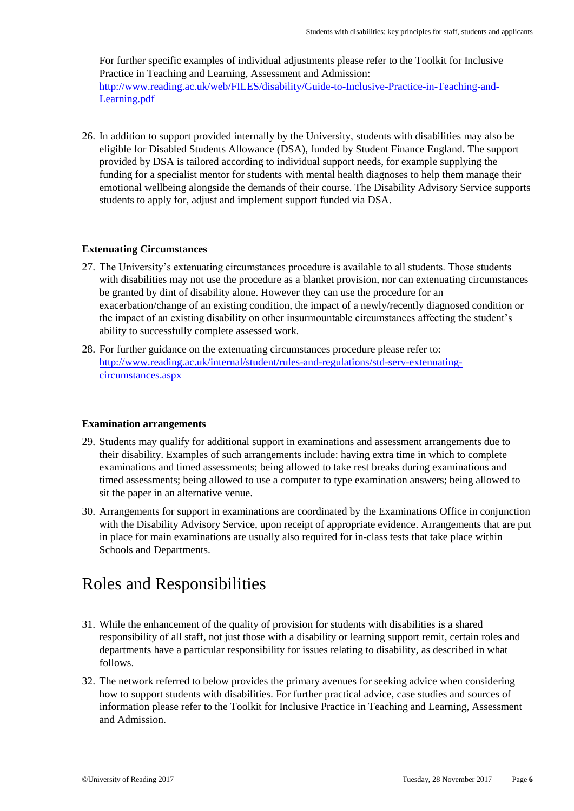For further specific examples of individual adjustments please refer to the Toolkit for Inclusive Practice in Teaching and Learning, Assessment and Admission: [http://www.reading.ac.uk/web/FILES/disability/Guide-to-Inclusive-Practice-in-Teaching-and-](http://www.reading.ac.uk/web/FILES/disability/Guide-to-Inclusive-Practice-in-Teaching-and-Learning.pdf)[Learning.pdf](http://www.reading.ac.uk/web/FILES/disability/Guide-to-Inclusive-Practice-in-Teaching-and-Learning.pdf) 

26. In addition to support provided internally by the University, students with disabilities may also be eligible for Disabled Students Allowance (DSA), funded by Student Finance England. The support provided by DSA is tailored according to individual support needs, for example supplying the funding for a specialist mentor for students with mental health diagnoses to help them manage their emotional wellbeing alongside the demands of their course. The Disability Advisory Service supports students to apply for, adjust and implement support funded via DSA.

## <span id="page-5-0"></span>**Extenuating Circumstances**

- 27. The University's extenuating circumstances procedure is available to all students. Those students with disabilities may not use the procedure as a blanket provision, nor can extenuating circumstances be granted by dint of disability alone. However they can use the procedure for an exacerbation/change of an existing condition, the impact of a newly/recently diagnosed condition or the impact of an existing disability on other insurmountable circumstances affecting the student's ability to successfully complete assessed work.
- 28. For further guidance on the extenuating circumstances procedure please refer to: [http://www.reading.ac.uk/internal/student/rules-and-regulations/std-serv-extenuating](http://www.reading.ac.uk/internal/student/rules-and-regulations/std-serv-extenuating-circumstances.aspx)[circumstances.aspx](http://www.reading.ac.uk/internal/student/rules-and-regulations/std-serv-extenuating-circumstances.aspx)

#### <span id="page-5-1"></span>**Examination arrangements**

- 29. Students may qualify for additional support in examinations and assessment arrangements due to their disability. Examples of such arrangements include: having extra time in which to complete examinations and timed assessments; being allowed to take rest breaks during examinations and timed assessments; being allowed to use a computer to type examination answers; being allowed to sit the paper in an alternative venue.
- 30. Arrangements for support in examinations are coordinated by the Examinations Office in conjunction with the Disability Advisory Service, upon receipt of appropriate evidence. Arrangements that are put in place for main examinations are usually also required for in-class tests that take place within Schools and Departments.

## <span id="page-5-2"></span>Roles and Responsibilities

- 31. While the enhancement of the quality of provision for students with disabilities is a shared responsibility of all staff, not just those with a disability or learning support remit, certain roles and departments have a particular responsibility for issues relating to disability, as described in what follows.
- 32. The network referred to below provides the primary avenues for seeking advice when considering how to support students with disabilities. For further practical advice, case studies and sources of information please refer to the Toolkit for Inclusive Practice in Teaching and Learning, Assessment and Admission.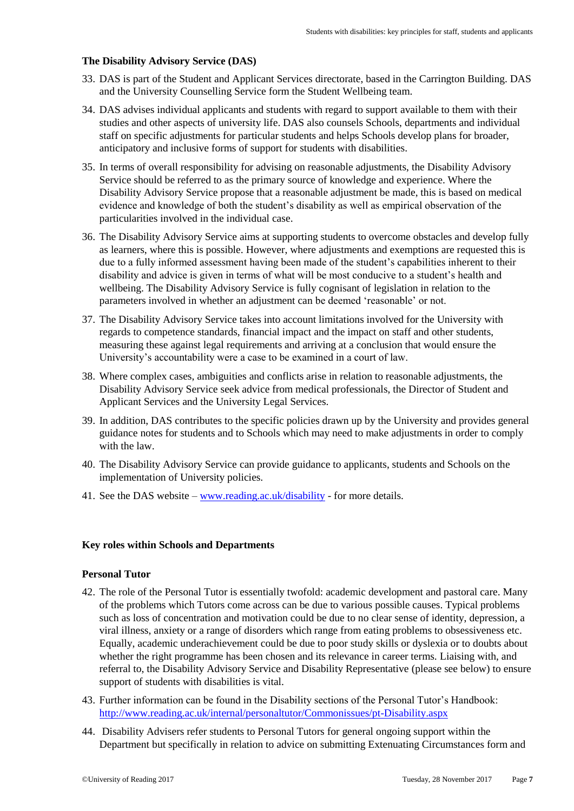## <span id="page-6-0"></span>**The Disability Advisory Service (DAS)**

- 33. DAS is part of the Student and Applicant Services directorate, based in the Carrington Building. DAS and the University Counselling Service form the Student Wellbeing team.
- 34. DAS advises individual applicants and students with regard to support available to them with their studies and other aspects of university life. DAS also counsels Schools, departments and individual staff on specific adjustments for particular students and helps Schools develop plans for broader, anticipatory and inclusive forms of support for students with disabilities.
- 35. In terms of overall responsibility for advising on reasonable adjustments, the Disability Advisory Service should be referred to as the primary source of knowledge and experience. Where the Disability Advisory Service propose that a reasonable adjustment be made, this is based on medical evidence and knowledge of both the student's disability as well as empirical observation of the particularities involved in the individual case.
- 36. The Disability Advisory Service aims at supporting students to overcome obstacles and develop fully as learners, where this is possible. However, where adjustments and exemptions are requested this is due to a fully informed assessment having been made of the student's capabilities inherent to their disability and advice is given in terms of what will be most conducive to a student's health and wellbeing. The Disability Advisory Service is fully cognisant of legislation in relation to the parameters involved in whether an adjustment can be deemed 'reasonable' or not.
- 37. The Disability Advisory Service takes into account limitations involved for the University with regards to competence standards, financial impact and the impact on staff and other students, measuring these against legal requirements and arriving at a conclusion that would ensure the University's accountability were a case to be examined in a court of law.
- 38. Where complex cases, ambiguities and conflicts arise in relation to reasonable adjustments, the Disability Advisory Service seek advice from medical professionals, the Director of Student and Applicant Services and the University Legal Services.
- 39. In addition, DAS contributes to the specific policies drawn up by the University and provides general guidance notes for students and to Schools which may need to make adjustments in order to comply with the law.
- 40. The Disability Advisory Service can provide guidance to applicants, students and Schools on the implementation of University policies.
- 41. See the DAS website [www.reading.ac.uk/disability](http://www.reading.ac.uk/disability) for more details.

### <span id="page-6-2"></span><span id="page-6-1"></span>**Key roles within Schools and Departments**

### **Personal Tutor**

- 42. The role of the Personal Tutor is essentially twofold: academic development and pastoral care. Many of the problems which Tutors come across can be due to various possible causes. Typical problems such as loss of concentration and motivation could be due to no clear sense of identity, depression, a viral illness, anxiety or a range of disorders which range from eating problems to obsessiveness etc. Equally, academic underachievement could be due to poor study skills or dyslexia or to doubts about whether the right programme has been chosen and its relevance in career terms. Liaising with, and referral to, the Disability Advisory Service and Disability Representative (please see below) to ensure support of students with disabilities is vital.
- 43. Further information can be found in the Disability sections of the Personal Tutor's Handbook: <http://www.reading.ac.uk/internal/personaltutor/Commonissues/pt-Disability.aspx>
- 44. Disability Advisers refer students to Personal Tutors for general ongoing support within the Department but specifically in relation to advice on submitting Extenuating Circumstances form and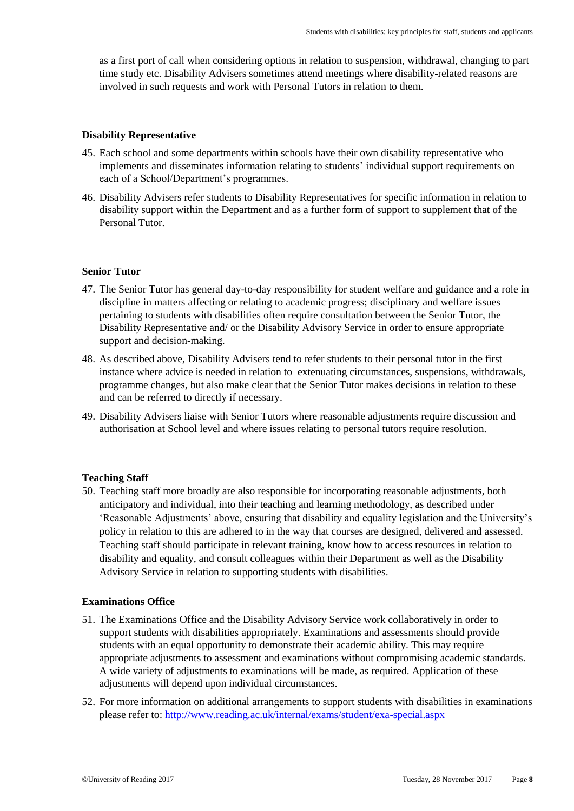as a first port of call when considering options in relation to suspension, withdrawal, changing to part time study etc. Disability Advisers sometimes attend meetings where disability-related reasons are involved in such requests and work with Personal Tutors in relation to them.

#### <span id="page-7-0"></span>**Disability Representative**

- 45. Each school and some departments within schools have their own disability representative who implements and disseminates information relating to students' individual support requirements on each of a School/Department's programmes.
- 46. Disability Advisers refer students to Disability Representatives for specific information in relation to disability support within the Department and as a further form of support to supplement that of the Personal Tutor.

#### <span id="page-7-1"></span>**Senior Tutor**

- 47. The Senior Tutor has general day-to-day responsibility for student welfare and guidance and a role in discipline in matters affecting or relating to academic progress; disciplinary and welfare issues pertaining to students with disabilities often require consultation between the Senior Tutor, the Disability Representative and/ or the Disability Advisory Service in order to ensure appropriate support and decision-making.
- 48. As described above, Disability Advisers tend to refer students to their personal tutor in the first instance where advice is needed in relation to extenuating circumstances, suspensions, withdrawals, programme changes, but also make clear that the Senior Tutor makes decisions in relation to these and can be referred to directly if necessary.
- 49. Disability Advisers liaise with Senior Tutors where reasonable adjustments require discussion and authorisation at School level and where issues relating to personal tutors require resolution.

#### <span id="page-7-2"></span>**Teaching Staff**

50. Teaching staff more broadly are also responsible for incorporating reasonable adjustments, both anticipatory and individual, into their teaching and learning methodology, as described under 'Reasonable Adjustments' above, ensuring that disability and equality legislation and the University's policy in relation to this are adhered to in the way that courses are designed, delivered and assessed. Teaching staff should participate in relevant training, know how to access resources in relation to disability and equality, and consult colleagues within their Department as well as the Disability Advisory Service in relation to supporting students with disabilities.

#### <span id="page-7-3"></span>**Examinations Office**

- 51. The Examinations Office and the Disability Advisory Service work collaboratively in order to support students with disabilities appropriately. Examinations and assessments should provide students with an equal opportunity to demonstrate their academic ability. This may require appropriate adjustments to assessment and examinations without compromising academic standards. A wide variety of adjustments to examinations will be made, as required. Application of these adjustments will depend upon individual circumstances.
- 52. For more information on additional arrangements to support students with disabilities in examinations please refer to:<http://www.reading.ac.uk/internal/exams/student/exa-special.aspx>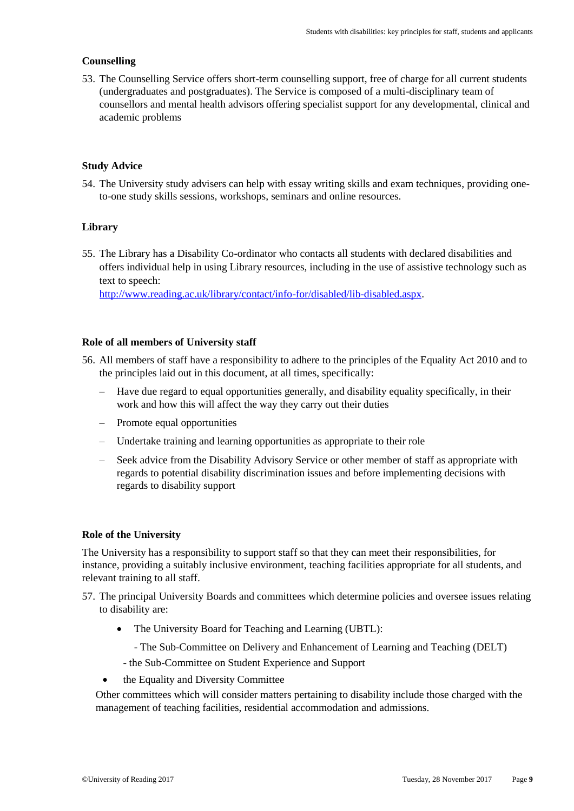## <span id="page-8-0"></span>**Counselling**

53. The [Counselling Service](http://www.reading.ac.uk/counselling) offers short-term counselling support, free of charge for all current students (undergraduates and postgraduates). The Service is composed of a multi-disciplinary team of counsellors and mental health advisors offering specialist support for any developmental, clinical and academic problems

## <span id="page-8-1"></span>**Study Advice**

54. The University study advisers can help with essay writing skills and exam techniques, providing oneto-one study skills sessions, workshops, seminars and online resources.

## <span id="page-8-2"></span>**Library**

55. The Library has a Disability Co-ordinator who contacts all students with declared disabilities and offers individual help in using Library resources, including in the use of assistive technology such as text to speech:

[http://www.reading.ac.uk/library/contact/info-for/disabled/lib-disabled.aspx.](http://www.reading.ac.uk/library/contact/info-for/disabled/lib-disabled.aspx)

## <span id="page-8-3"></span>**Role of all members of University staff**

- 56. All members of staff have a responsibility to adhere to the principles of the Equality Act 2010 and to the principles laid out in this document, at all times, specifically:
	- Have due regard to equal opportunities generally, and disability equality specifically, in their work and how this will affect the way they carry out their duties
	- Promote equal opportunities
	- Undertake training and learning opportunities as appropriate to their role
	- Seek advice from the Disability Advisory Service or other member of staff as appropriate with regards to potential disability discrimination issues and before implementing decisions with regards to disability support

### <span id="page-8-4"></span>**Role of the University**

The University has a responsibility to support staff so that they can meet their responsibilities, for instance, providing a suitably inclusive environment, teaching facilities appropriate for all students, and relevant training to all staff.

- 57. The principal University Boards and committees which determine policies and oversee issues relating to disability are:
	- The University Board for Teaching and Learning (UBTL):
		- The Sub-Committee on Delivery and Enhancement of Learning and Teaching (DELT)
		- the Sub-Committee on Student Experience and Support
	- the Equality and Diversity Committee

Other committees which will consider matters pertaining to disability include those charged with the management of teaching facilities, residential accommodation and admissions.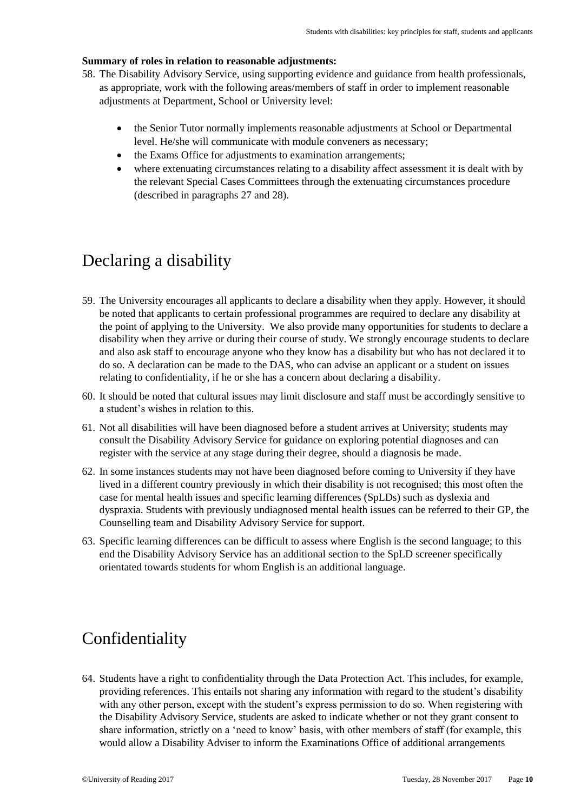### <span id="page-9-0"></span>**Summary of roles in relation to reasonable adjustments:**

- 58. The Disability Advisory Service, using supporting evidence and guidance from health professionals, as appropriate, work with the following areas/members of staff in order to implement reasonable adjustments at Department, School or University level:
	- the Senior Tutor normally implements reasonable adjustments at School or Departmental level. He/she will communicate with module conveners as necessary;
	- the Exams Office for adjustments to examination arrangements;
	- where extenuating circumstances relating to a disability affect assessment it is dealt with by the relevant Special Cases Committees through the extenuating circumstances procedure (described in paragraphs 27 and 28).

## <span id="page-9-1"></span>Declaring a disability

- 59. The University encourages all applicants to declare a disability when they apply. However, it should be noted that applicants to certain professional programmes are required to declare any disability at the point of applying to the University. We also provide many opportunities for students to declare a disability when they arrive or during their course of study. We strongly encourage students to declare and also ask staff to encourage anyone who they know has a disability but who has not declared it to do so. A declaration can be made to the DAS, who can advise an applicant or a student on issues relating to confidentiality, if he or she has a concern about declaring a disability.
- 60. It should be noted that cultural issues may limit disclosure and staff must be accordingly sensitive to a student's wishes in relation to this.
- 61. Not all disabilities will have been diagnosed before a student arrives at University; students may consult the Disability Advisory Service for guidance on exploring potential diagnoses and can register with the service at any stage during their degree, should a diagnosis be made.
- 62. In some instances students may not have been diagnosed before coming to University if they have lived in a different country previously in which their disability is not recognised; this most often the case for mental health issues and specific learning differences (SpLDs) such as dyslexia and dyspraxia. Students with previously undiagnosed mental health issues can be referred to their GP, the Counselling team and Disability Advisory Service for support.
- 63. Specific learning differences can be difficult to assess where English is the second language; to this end the Disability Advisory Service has an additional section to the SpLD screener specifically orientated towards students for whom English is an additional language.

## <span id="page-9-2"></span>Confidentiality

64. Students have a right to confidentiality through the Data Protection Act. This includes, for example, providing references. This entails not sharing any information with regard to the student's disability with any other person, except with the student's express permission to do so. When registering with the Disability Advisory Service, students are asked to indicate whether or not they grant consent to share information, strictly on a 'need to know' basis, with other members of staff (for example, this would allow a Disability Adviser to inform the Examinations Office of additional arrangements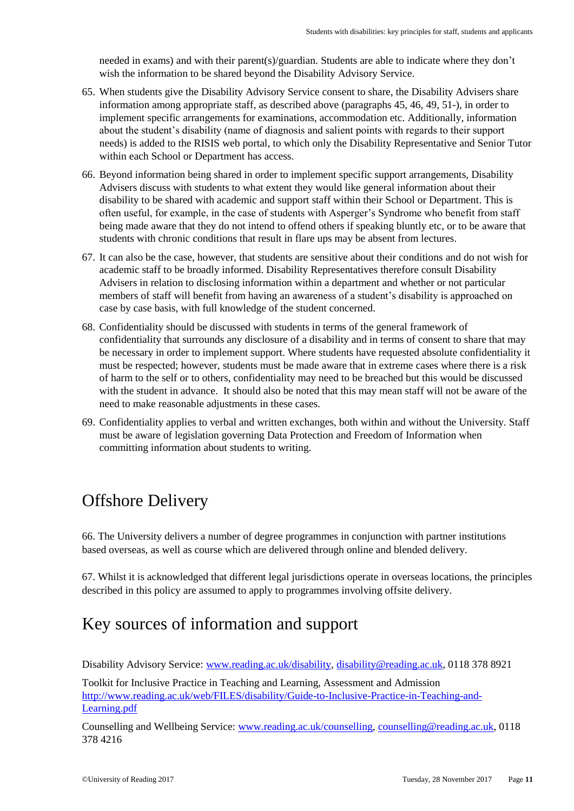needed in exams) and with their parent(s)/guardian. Students are able to indicate where they don't wish the information to be shared beyond the Disability Advisory Service.

- 65. When students give the Disability Advisory Service consent to share, the Disability Advisers share information among appropriate staff, as described above (paragraphs 45, 46, 49, 51-), in order to implement specific arrangements for examinations, accommodation etc. Additionally, information about the student's disability (name of diagnosis and salient points with regards to their support needs) is added to the RISIS web portal, to which only the Disability Representative and Senior Tutor within each School or Department has access.
- 66. Beyond information being shared in order to implement specific support arrangements, Disability Advisers discuss with students to what extent they would like general information about their disability to be shared with academic and support staff within their School or Department. This is often useful, for example, in the case of students with Asperger's Syndrome who benefit from staff being made aware that they do not intend to offend others if speaking bluntly etc, or to be aware that students with chronic conditions that result in flare ups may be absent from lectures.
- 67. It can also be the case, however, that students are sensitive about their conditions and do not wish for academic staff to be broadly informed. Disability Representatives therefore consult Disability Advisers in relation to disclosing information within a department and whether or not particular members of staff will benefit from having an awareness of a student's disability is approached on case by case basis, with full knowledge of the student concerned.
- 68. Confidentiality should be discussed with students in terms of the general framework of confidentiality that surrounds any disclosure of a disability and in terms of consent to share that may be necessary in order to implement support. Where students have requested absolute confidentiality it must be respected; however, students must be made aware that in extreme cases where there is a risk of harm to the self or to others, confidentiality may need to be breached but this would be discussed with the student in advance. It should also be noted that this may mean staff will not be aware of the need to make reasonable adjustments in these cases.
- 69. Confidentiality applies to verbal and written exchanges, both within and without the University. Staff must be aware of legislation governing Data Protection and Freedom of Information when committing information about students to writing.

## <span id="page-10-0"></span>Offshore Delivery

66. The University delivers a number of degree programmes in conjunction with partner institutions based overseas, as well as course which are delivered through online and blended delivery.

67. Whilst it is acknowledged that different legal jurisdictions operate in overseas locations, the principles described in this policy are assumed to apply to programmes involving offsite delivery.

## <span id="page-10-1"></span>Key sources of information and support

Disability Advisory Service: [www.reading.ac.uk/disability,](http://www.reading.ac.uk/disability) [disability@reading.ac.uk,](mailto:disability@reading.ac.uk) 0118 378 8921

Toolkit for Inclusive Practice in Teaching and Learning, Assessment and Admission [http://www.reading.ac.uk/web/FILES/disability/Guide-to-Inclusive-Practice-in-Teaching-and-](http://www.reading.ac.uk/web/FILES/disability/Guide-to-Inclusive-Practice-in-Teaching-and-Learning.pdf)[Learning.pdf](http://www.reading.ac.uk/web/FILES/disability/Guide-to-Inclusive-Practice-in-Teaching-and-Learning.pdf)

Counselling and Wellbeing Service: [www.reading.ac.uk/counselling,](http://www.reading.ac.uk/counselling) [counselling@reading.ac.uk,](mailto:counselling@reading.ac.uk) 0118 378 4216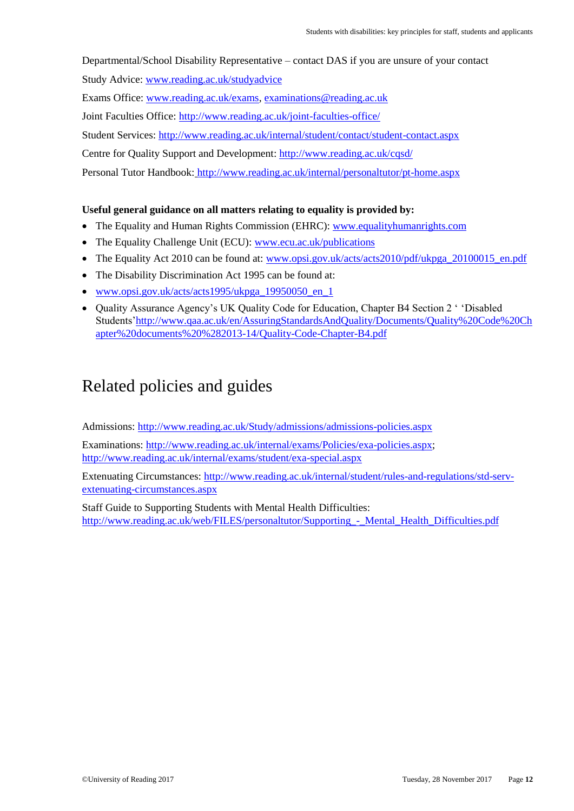Departmental/School Disability Representative – contact DAS if you are unsure of your contact

Study Advice: [www.reading.ac.uk/studyadvice](http://www.reading.ac.uk/studyadvice)

Exams Office: [www.reading.ac.uk/exams,](http://www.reading.ac.uk/exams) [examinations@reading.ac.uk](mailto:examinations@reading.ac.uk)

Joint Faculties Office:<http://www.reading.ac.uk/joint-faculties-office/>

Student Services:<http://www.reading.ac.uk/internal/student/contact/student-contact.aspx>

Centre for Quality Support and Development[: http://www.reading.ac.uk/cqsd/](http://www.reading.ac.uk/cqsd/)

Personal Tutor Handbook: http://www.reading.ac.uk/internal/personaltutor/pt-home.aspx

## **Useful general guidance on all matters relating to equality is provided by:**

- The Equality and Human Rights Commission (EHRC): [www.equalityhumanrights.com](http://www.equalityhumanrights.com/)
- The Equality Challenge Unit (ECU): [www.ecu.ac.uk/publications](http://www.ecu.ac.uk/publications)
- The Equality Act 2010 can be found at: [www.opsi.gov.uk/acts/acts2010/pdf/ukpga\\_20100015\\_en.pdf](http://www.opsi.gov.uk/acts/acts2010/pdf/ukpga_20100015_en.pdf)
- The Disability Discrimination Act 1995 can be found at:
- [www.opsi.gov.uk/acts/acts1995/ukpga\\_19950050\\_en\\_1](http://www.opsi.gov.uk/acts/acts1995/ukpga_19950050_en_1)
- Quality Assurance Agency's UK Quality Code for Education, Chapter B4 Section 2 ' 'Disabled Students['http://www.qaa.ac.uk/en/AssuringStandardsAndQuality/Documents/Quality%20Code%20Ch](http://www.qaa.ac.uk/en/AssuringStandardsAndQuality/Documents/Quality%20Code%20Chapter%20documents%20%282013-14/Quality-Code-Chapter-B4.pdf) [apter%20documents%20%282013-14/Quality-Code-Chapter-B4.pdf](http://www.qaa.ac.uk/en/AssuringStandardsAndQuality/Documents/Quality%20Code%20Chapter%20documents%20%282013-14/Quality-Code-Chapter-B4.pdf)

## <span id="page-11-0"></span>Related policies and guides

Admissions:<http://www.reading.ac.uk/Study/admissions/admissions-policies.aspx>

Examinations: [http://www.reading.ac.uk/internal/exams/Policies/exa-policies.aspx;](http://www.reading.ac.uk/internal/exams/Policies/exa-policies.aspx) <http://www.reading.ac.uk/internal/exams/student/exa-special.aspx>

Extenuating Circumstances: [http://www.reading.ac.uk/internal/student/rules-and-regulations/std-serv](http://www.reading.ac.uk/internal/student/rules-and-regulations/std-serv-extenuating-circumstances.aspx)[extenuating-circumstances.aspx](http://www.reading.ac.uk/internal/student/rules-and-regulations/std-serv-extenuating-circumstances.aspx)

Staff Guide to Supporting Students with Mental Health Difficulties: http://www.reading.ac.uk/web/FILES/personaltutor/Supporting - Mental Health Difficulties.pdf